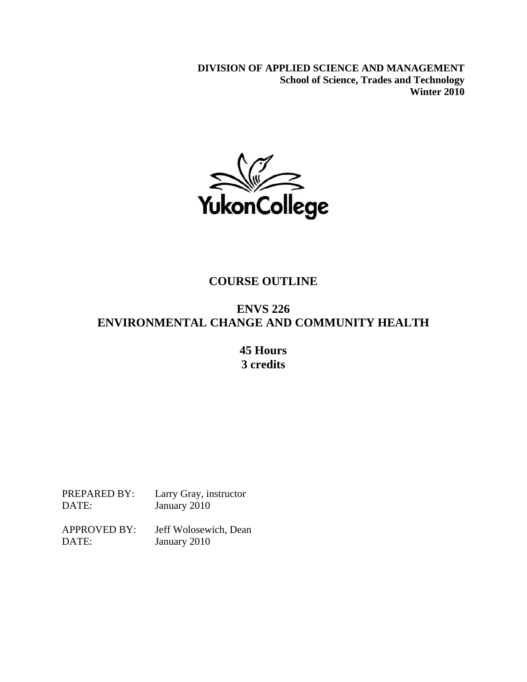**DIVISION OF APPLIED SCIENCE AND MANAGEMENT School of Science, Trades and Technology Winter 2010** 



## **COURSE OUTLINE**

# **ENVS 226 ENVIRONMENTAL CHANGE AND COMMUNITY HEALTH**

## **45 Hours 3 credits**

PREPARED BY: Larry Gray, instructor DATE: January 2010

APPROVED BY: Jeff Wolosewich, Dean DATE: January 2010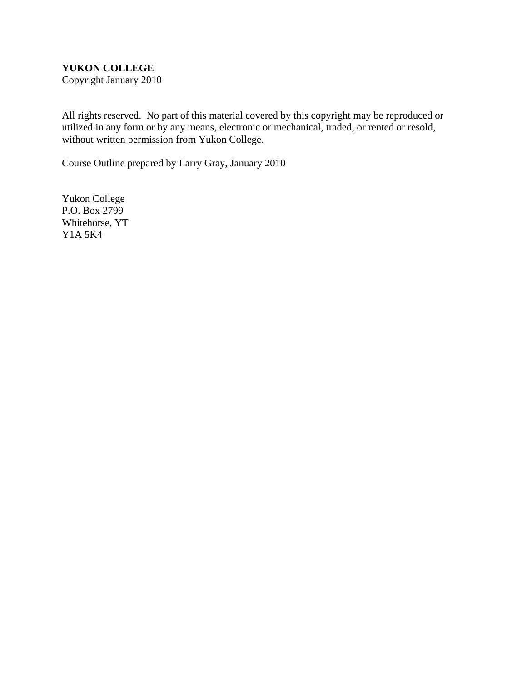## **YUKON COLLEGE**

Copyright January 2010

All rights reserved. No part of this material covered by this copyright may be reproduced or utilized in any form or by any means, electronic or mechanical, traded, or rented or resold, without written permission from Yukon College.

Course Outline prepared by Larry Gray, January 2010

Yukon College P.O. Box 2799 Whitehorse, YT Y1A 5K4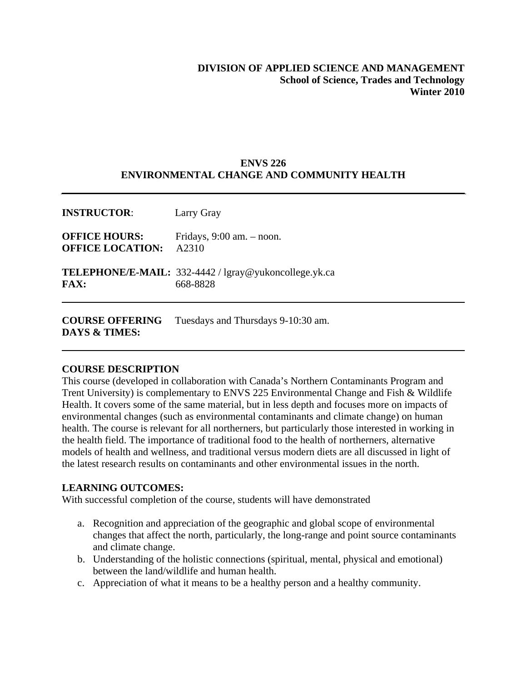## **DIVISION OF APPLIED SCIENCE AND MANAGEMENT School of Science, Trades and Technology Winter 2010**

## **ENVS 226 ENVIRONMENTAL CHANGE AND COMMUNITY HEALTH**

| <b>INSTRUCTOR:</b>                              | Larry Gray                                                                             |
|-------------------------------------------------|----------------------------------------------------------------------------------------|
| <b>OFFICE HOURS:</b><br><b>OFFICE LOCATION:</b> | Fridays, $9:00$ am. $-$ noon.<br>A2310                                                 |
| FAX:                                            | <b>TELEPHONE/E-MAIL:</b> $332-4442$ / $\lg \text{ray@yukon}$ college.yk.ca<br>668-8828 |
|                                                 |                                                                                        |

**COURSE OFFERING** Tuesdays and Thursdays 9-10:30 am. **DAYS & TIMES:**

### **COURSE DESCRIPTION**

This course (developed in collaboration with Canada's Northern Contaminants Program and Trent University) is complementary to ENVS 225 Environmental Change and Fish & Wildlife Health. It covers some of the same material, but in less depth and focuses more on impacts of environmental changes (such as environmental contaminants and climate change) on human health. The course is relevant for all northerners, but particularly those interested in working in the health field. The importance of traditional food to the health of northerners, alternative models of health and wellness, and traditional versus modern diets are all discussed in light of the latest research results on contaminants and other environmental issues in the north.

### **LEARNING OUTCOMES:**

With successful completion of the course, students will have demonstrated

- a. Recognition and appreciation of the geographic and global scope of environmental changes that affect the north, particularly, the long-range and point source contaminants and climate change.
- b. Understanding of the holistic connections (spiritual, mental, physical and emotional) between the land/wildlife and human health.
- c. Appreciation of what it means to be a healthy person and a healthy community.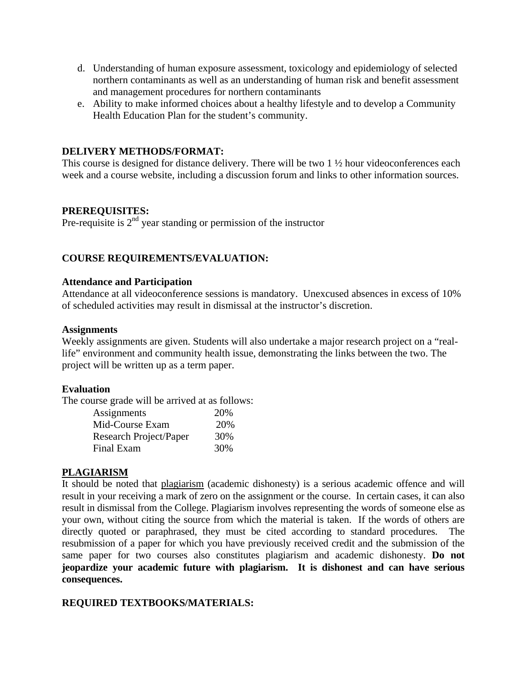- d. Understanding of human exposure assessment, toxicology and epidemiology of selected northern contaminants as well as an understanding of human risk and benefit assessment and management procedures for northern contaminants
- e. Ability to make informed choices about a healthy lifestyle and to develop a Community Health Education Plan for the student's community.

## **DELIVERY METHODS/FORMAT:**

This course is designed for distance delivery. There will be two  $1 \frac{1}{2}$  hour videoconferences each week and a course website, including a discussion forum and links to other information sources.

## **PREREQUISITES:**

Pre-requisite is  $2<sup>nd</sup>$  year standing or permission of the instructor

## **COURSE REQUIREMENTS/EVALUATION:**

#### **Attendance and Participation**

Attendance at all videoconference sessions is mandatory. Unexcused absences in excess of 10% of scheduled activities may result in dismissal at the instructor's discretion.

#### **Assignments**

Weekly assignments are given. Students will also undertake a major research project on a "reallife" environment and community health issue, demonstrating the links between the two. The project will be written up as a term paper.

### **Evaluation**

The course grade will be arrived at as follows:

| Assignments            | 20% |
|------------------------|-----|
| Mid-Course Exam        | 20% |
| Research Project/Paper | 30% |
| Final Exam             | 30% |

### **PLAGIARISM**

It should be noted that plagiarism (academic dishonesty) is a serious academic offence and will result in your receiving a mark of zero on the assignment or the course. In certain cases, it can also result in dismissal from the College. Plagiarism involves representing the words of someone else as your own, without citing the source from which the material is taken. If the words of others are directly quoted or paraphrased, they must be cited according to standard procedures. The resubmission of a paper for which you have previously received credit and the submission of the same paper for two courses also constitutes plagiarism and academic dishonesty. **Do not jeopardize your academic future with plagiarism. It is dishonest and can have serious consequences.** 

### **REQUIRED TEXTBOOKS/MATERIALS:**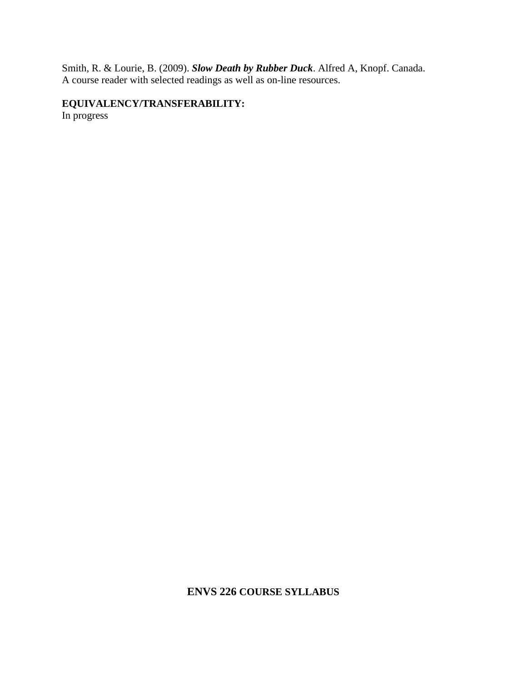Smith, R. & Lourie, B. (2009). *Slow Death by Rubber Duck*. Alfred A, Knopf. Canada. A course reader with selected readings as well as on-line resources.

**EQUIVALENCY/TRANSFERABILITY:** 

In progress

**ENVS 226 COURSE SYLLABUS**